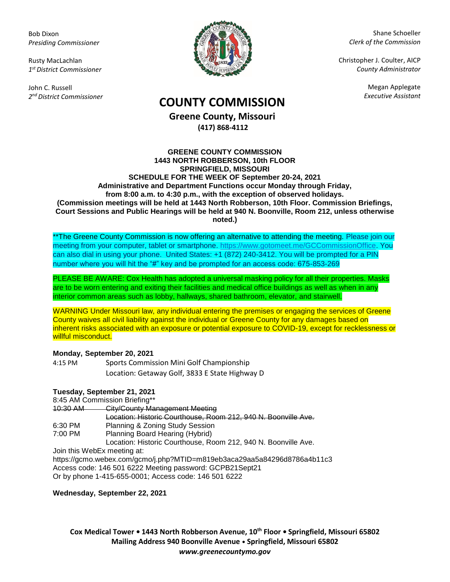Bob Dixon *Presiding Commissioner*

Rusty MacLachlan *1 st District Commissioner*

John C. Russell *2 nd District Commissioner*



Shane Schoeller *Clerk of the Commission*

Christopher J. Coulter, AICP *County Administrator*

Megan Applegate

# *Executive Assistant* **COUNTY COMMISSION**

**Greene County, Missouri (417) 868-4112**

#### **GREENE COUNTY COMMISSION 1443 NORTH ROBBERSON, 10th FLOOR SPRINGFIELD, MISSOURI SCHEDULE FOR THE WEEK OF September 20-24, 2021 Administrative and Department Functions occur Monday through Friday, from 8:00 a.m. to 4:30 p.m., with the exception of observed holidays. (Commission meetings will be held at 1443 North Robberson, 10th Floor. Commission Briefings, Court Sessions and Public Hearings will be held at 940 N. Boonville, Room 212, unless otherwise noted.)**

\*\*The Greene County Commission is now offering an alternative to attending the meeting. Please join our meeting from your computer, tablet or smartphone. [https://www.gotomeet.me/GCCommissionOffice.](https://www.gotomeet.me/GCCommissionOffice) You can also dial in using your phone. United States: +1 (872) 240-3412. You will be prompted for a PIN number where you will hit the "#" key and be prompted for an access code: 675-853-269

PLEASE BE AWARE: Cox Health has adopted a universal masking policy for all their properties. Masks are to be worn entering and exiting their facilities and medical office buildings as well as when in any interior common areas such as lobby, hallways, shared bathroom, elevator, and stairwell.

WARNING Under Missouri law, any individual entering the premises or engaging the services of Greene County waives all civil liability against the individual or Greene County for any damages based on inherent risks associated with an exposure or potential exposure to COVID-19, except for recklessness or willful misconduct.

## **Monday, September 20, 2021**

4:15 PM Sports Commission Mini Golf Championship Location: Getaway Golf, 3833 E State Highway D

## **Tuesday, September 21, 2021**

8:45 AM Commission Briefing\*\*

10:30 AM City/County Management Meeting Location: Historic Courthouse, Room 212, 940 N. Boonville Ave. 6:30 PM Planning & Zoning Study Session 7:00 PM Planning Board Hearing (Hybrid) Location: Historic Courthouse, Room 212, 940 N. Boonville Ave. Join this WebEx meeting at: https://gcmo.webex.com/gcmo/j.php?MTID=m819eb3aca29aa5a84296d8786a4b11c3

Access code: 146 501 6222 Meeting password: GCPB21Sept21 Or by phone 1-415-655-0001; Access code: 146 501 6222

**Wednesday, September 22, 2021**

**Cox Medical Tower • 1443 North Robberson Avenue, 10th Floor • Springfield, Missouri 65802 Mailing Address 940 Boonville Avenue • Springfield, Missouri 65802** *www.greenecountymo.gov*